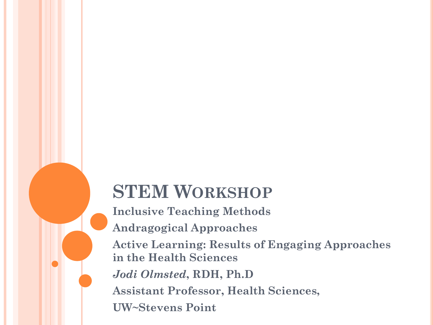# **STEM WORKSHOP**

**Inclusive Teaching Methods Andragogical Approaches Active Learning: Results of Engaging Approaches in the Health Sciences** *Jodi Olmsted***, RDH, Ph.D Assistant Professor, Health Sciences, UW~Stevens Point**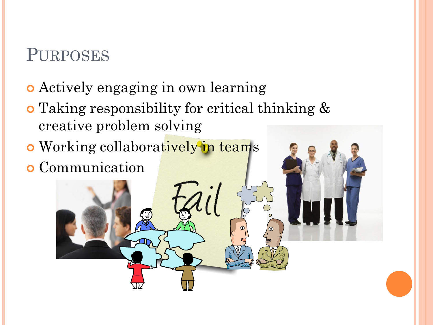### PURPOSES

- Actively engaging in own learning
- Taking responsibility for critical thinking & creative problem solving
- o Working collaboratively in teams
- Communication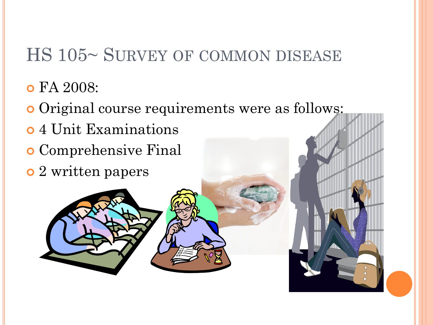- FA 2008:
- Original course requirements were as follows:
- 4 Unit Examinations
- Comprehensive Final
- 2 written papers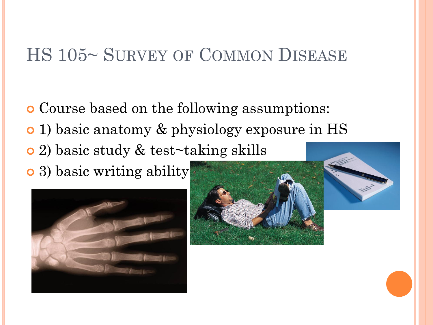Course based on the following assumptions: 1) basic anatomy & physiology exposure in HS 2) basic study & test~taking skills • 3) basic writing ability



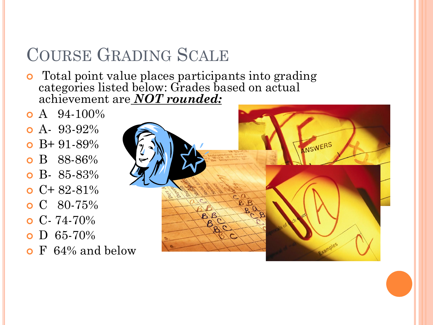## COURSE GRADING SCALE

- **o** Total point value places participants into grading categories listed below: Grades based on actual achievement are *NOT rounded:*
- $\bullet$  A 94-100%
- $\bullet$  A- 93-92%
- B+ 91-89%
- B 88-86%
- $\bullet$  B- 85-83%
- $\bullet$  C+82-81%
- $C$  80-75%
- $\bullet$  C- 74-70%
- $\bullet$  D 65-70%
- **o** F 64\% and below

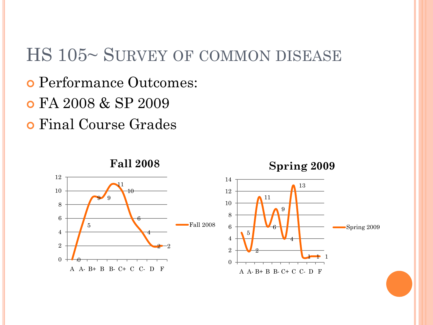- Performance Outcomes:
- FA 2008 & SP 2009
- Final Course Grades



Spring 2009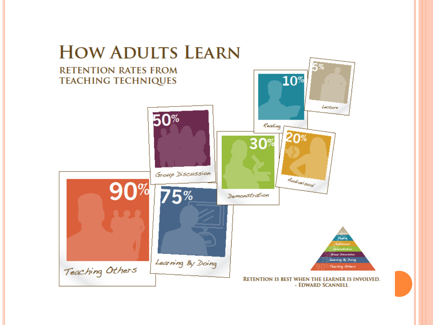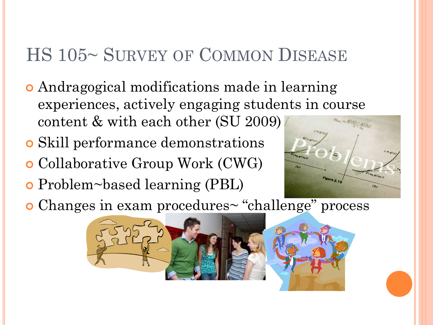- Andragogical modifications made in learning experiences, actively engaging students in course content & with each other (SU 2009)
- Skill performance demonstrations
- Collaborative Group Work (CWG)
- Problem~based learning (PBL)



Changes in exam procedures~ "challenge" process

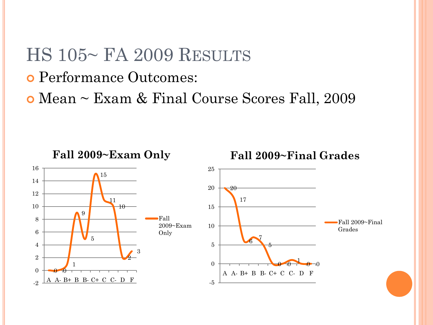## HS 105~ FA 2009 RESULTS

- Performance Outcomes:
- Mean ~ Exam & Final Course Scores Fall, 2009

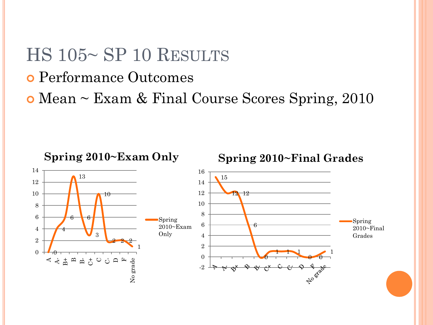### HS 105~ SP 10 RESULTS

- Performance Outcomes
- Mean ~ Exam & Final Course Scores Spring, 2010

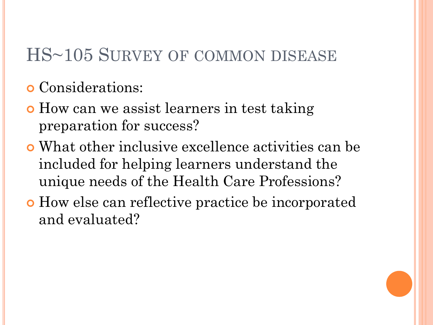- Considerations:
- How can we assist learners in test taking preparation for success?
- What other inclusive excellence activities can be included for helping learners understand the unique needs of the Health Care Professions?
- How else can reflective practice be incorporated and evaluated?